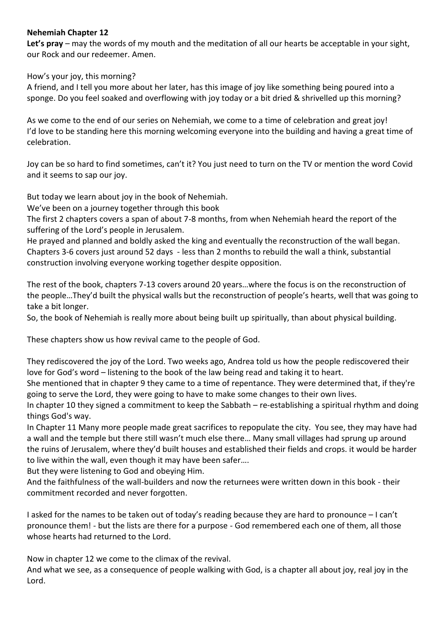## **Nehemiah Chapter 12**

**Let's pray** – may the words of my mouth and the meditation of all our hearts be acceptable in your sight, our Rock and our redeemer. Amen.

How's your joy, this morning?

A friend, and I tell you more about her later, has this image of joy like something being poured into a sponge. Do you feel soaked and overflowing with joy today or a bit dried & shrivelled up this morning?

As we come to the end of our series on Nehemiah, we come to a time of celebration and great joy! I'd love to be standing here this morning welcoming everyone into the building and having a great time of celebration.

Joy can be so hard to find sometimes, can't it? You just need to turn on the TV or mention the word Covid and it seems to sap our joy.

But today we learn about joy in the book of Nehemiah.

We've been on a journey together through this book

The first 2 chapters covers a span of about 7-8 months, from when Nehemiah heard the report of the suffering of the Lord's people in Jerusalem.

He prayed and planned and boldly asked the king and eventually the reconstruction of the wall began. Chapters 3-6 covers just around 52 days - less than 2 months to rebuild the wall a think, substantial construction involving everyone working together despite opposition.

The rest of the book, chapters 7-13 covers around 20 years…where the focus is on the reconstruction of the people…They'd built the physical walls but the reconstruction of people's hearts, well that was going to take a bit longer.

So, the book of Nehemiah is really more about being built up spiritually, than about physical building.

These chapters show us how revival came to the people of God.

They rediscovered the joy of the Lord. Two weeks ago, Andrea told us how the people rediscovered their love for God's word – listening to the book of the law being read and taking it to heart.

She mentioned that in chapter 9 they came to a time of repentance. They were determined that, if they're going to serve the Lord, they were going to have to make some changes to their own lives.

In chapter 10 they signed a commitment to keep the Sabbath – re-establishing a spiritual rhythm and doing things God's way.

In Chapter 11 Many more people made great sacrifices to repopulate the city. You see, they may have had a wall and the temple but there still wasn't much else there… Many small villages had sprung up around the ruins of Jerusalem, where they'd built houses and established their fields and crops. it would be harder to live within the wall, even though it may have been safer….

But they were listening to God and obeying Him.

And the faithfulness of the wall-builders and now the returnees were written down in this book - their commitment recorded and never forgotten.

I asked for the names to be taken out of today's reading because they are hard to pronounce – I can't pronounce them! - but the lists are there for a purpose - God remembered each one of them, all those whose hearts had returned to the Lord.

Now in chapter 12 we come to the climax of the revival.

And what we see, as a consequence of people walking with God, is a chapter all about joy, real joy in the Lord.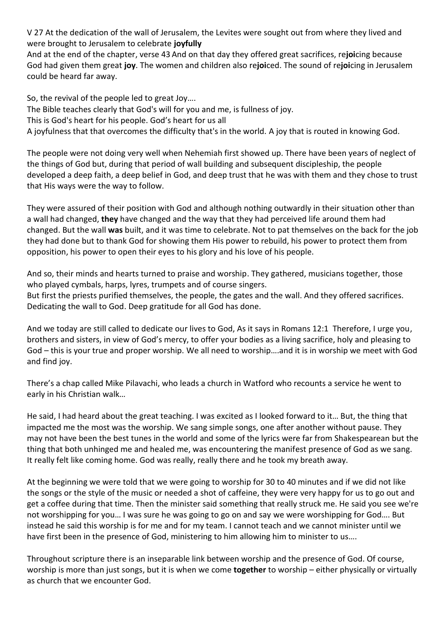V 27 At the dedication of the wall of Jerusalem, the Levites were sought out from where they lived and were brought to Jerusalem to celebrate **joyfully**

And at the end of the chapter, verse 43 And on that day they offered great sacrifices, re**joi**cing because God had given them great **joy**. The women and children also re**joi**ced. The sound of re**joi**cing in Jerusalem could be heard far away.

So, the revival of the people led to great Joy….

The Bible teaches clearly that God's will for you and me, is fullness of joy.

This is God's heart for his people. God's heart for us all

A joyfulness that that overcomes the difficulty that's in the world. A joy that is routed in knowing God.

The people were not doing very well when Nehemiah first showed up. There have been years of neglect of the things of God but, during that period of wall building and subsequent discipleship, the people developed a deep faith, a deep belief in God, and deep trust that he was with them and they chose to trust that His ways were the way to follow.

They were assured of their position with God and although nothing outwardly in their situation other than a wall had changed, **they** have changed and the way that they had perceived life around them had changed. But the wall **was** built, and it was time to celebrate. Not to pat themselves on the back for the job they had done but to thank God for showing them His power to rebuild, his power to protect them from opposition, his power to open their eyes to his glory and his love of his people.

And so, their minds and hearts turned to praise and worship. They gathered, musicians together, those who played cymbals, harps, lyres, trumpets and of course singers.

But first the priests purified themselves, the people, the gates and the wall. And they offered sacrifices. Dedicating the wall to God. Deep gratitude for all God has done.

And we today are still called to dedicate our lives to God, As it says in Romans 12:1 Therefore, I urge you, brothers and sisters, in view of God's mercy, to offer your bodies as a living sacrifice, holy and pleasing to God – this is your true and proper worship. We all need to worship….and it is in worship we meet with God and find joy.

There's a chap called Mike Pilavachi, who leads a church in Watford who recounts a service he went to early in his Christian walk…

He said, I had heard about the great teaching. I was excited as I looked forward to it… But, the thing that impacted me the most was the worship. We sang simple songs, one after another without pause. They may not have been the best tunes in the world and some of the lyrics were far from Shakespearean but the thing that both unhinged me and healed me, was encountering the manifest presence of God as we sang. It really felt like coming home. God was really, really there and he took my breath away.

At the beginning we were told that we were going to worship for 30 to 40 minutes and if we did not like the songs or the style of the music or needed a shot of caffeine, they were very happy for us to go out and get a coffee during that time. Then the minister said something that really struck me. He said you see we're not worshipping for you… I was sure he was going to go on and say we were worshipping for God…. But instead he said this worship is for me and for my team. I cannot teach and we cannot minister until we have first been in the presence of God, ministering to him allowing him to minister to us….

Throughout scripture there is an inseparable link between worship and the presence of God. Of course, worship is more than just songs, but it is when we come **together** to worship – either physically or virtually as church that we encounter God.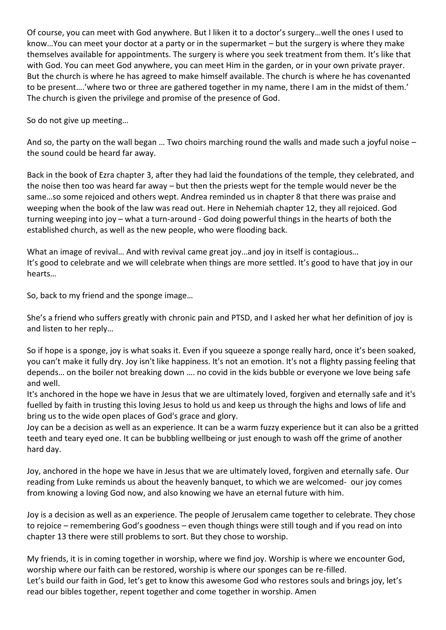Of course, you can meet with God anywhere. But I liken it to a doctor's surgery…well the ones I used to know…You can meet your doctor at a party or in the supermarket – but the surgery is where they make themselves available for appointments. The surgery is where you seek treatment from them. It's like that with God. You can meet God anywhere, you can meet Him in the garden, or in your own private prayer. But the church is where he has agreed to make himself available. The church is where he has covenanted to be present….'where two or three are gathered together in my name, there I am in the midst of them.' The church is given the privilege and promise of the presence of God.

So do not give up meeting…

And so, the party on the wall began … Two choirs marching round the walls and made such a joyful noise – the sound could be heard far away.

Back in the book of Ezra chapter 3, after they had laid the foundations of the temple, they celebrated, and the noise then too was heard far away – but then the priests wept for the temple would never be the same…so some rejoiced and others wept. Andrea reminded us in chapter 8 that there was praise and weeping when the book of the law was read out. Here in Nehemiah chapter 12, they all rejoiced. God turning weeping into joy – what a turn-around - God doing powerful things in the hearts of both the established church, as well as the new people, who were flooding back.

What an image of revival... And with revival came great joy... and joy in itself is contagious... It's good to celebrate and we will celebrate when things are more settled. It's good to have that joy in our hearts…

So, back to my friend and the sponge image…

She's a friend who suffers greatly with chronic pain and PTSD, and I asked her what her definition of joy is and listen to her reply…

So if hope is a sponge, joy is what soaks it. Even if you squeeze a sponge really hard, once it's been soaked, you can't make it fully dry. Joy isn't like happiness. It's not an emotion. It's not a flighty passing feeling that depends… on the boiler not breaking down …. no covid in the kids bubble or everyone we love being safe and well.

It's anchored in the hope we have in Jesus that we are ultimately loved, forgiven and eternally safe and it's fuelled by faith in trusting this loving Jesus to hold us and keep us through the highs and lows of life and bring us to the wide open places of God's grace and glory.

Joy can be a decision as well as an experience. It can be a warm fuzzy experience but it can also be a gritted teeth and teary eyed one. It can be bubbling wellbeing or just enough to wash off the grime of another hard day.

Joy, anchored in the hope we have in Jesus that we are ultimately loved, forgiven and eternally safe. Our reading from Luke reminds us about the heavenly banquet, to which we are welcomed- our joy comes from knowing a loving God now, and also knowing we have an eternal future with him.

Joy is a decision as well as an experience. The people of Jerusalem came together to celebrate. They chose to rejoice – remembering God's goodness – even though things were still tough and if you read on into chapter 13 there were still problems to sort. But they chose to worship.

My friends, it is in coming together in worship, where we find joy. Worship is where we encounter God, worship where our faith can be restored, worship is where our sponges can be re-filled. Let's build our faith in God, let's get to know this awesome God who restores souls and brings joy, let's read our bibles together, repent together and come together in worship. Amen